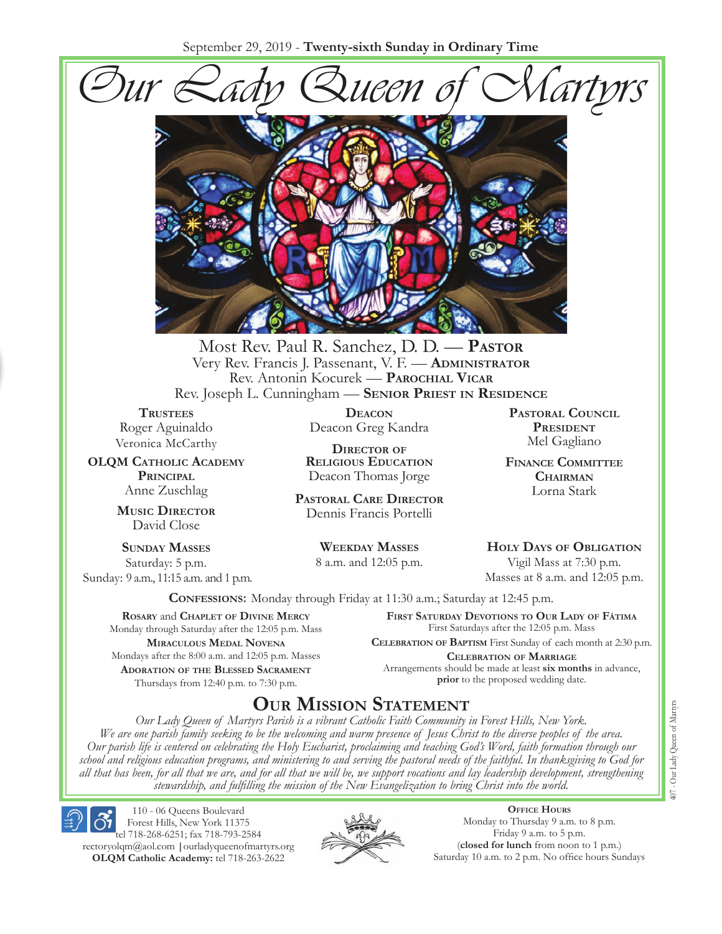September 29, 2019 - **Twenty-sixth Sunday in Ordinary Time**





Most Rev. Paul R. Sanchez, D. D. — **PASTOR** Very Rev. Francis J. Passenant, V. F. — **ADMINISTRATOR** Rev. Antonin Kocurek — **PAROCHIAL VICAR** Rev. Joseph L. Cunningham — **SENIOR PRIEST IN RESIDENCE**

**TRUSTEES** Roger Aguinaldo Veronica McCarthy

**OLQM CATHOLIC ACADEMY PRINCIPAL**  Anne Zuschlag

> **MUSIC DIRECTOR** David Close

**SUNDAY MASSES** Saturday: 5 p.m. Sunday: 9 a.m., 11:15 a.m. and 1 p.m.

> **ROSARY** and **CHAPLET OF DIVINE MERCY** Monday through Saturday after the 12:05 p.m. Mass **MIRACULOUS MEDAL NOVENA** Mondays after the 8:00 a.m. and 12:05 p.m. Masses **ADORATION OF THE BLESSED SACRAMENT** Thursdays from 12:40 p.m. to 7:30 p.m.

**DEACON** Deacon Greg Kandra

**DIRECTOR OF RELIGIOUS EDUCATION** Deacon Thomas Jorge

**PASTORAL CARE DIRECTOR** Dennis Francis Portelli

> **WEEKDAY MASSES** 8 a.m. and 12:05 p.m.

**PASTORAL COUNCIL PRESIDENT** Mel Gagliano

**FINANCE COMMITTEE CHAIRMAN** Lorna Stark

**HOLY DAYS OF OBLIGATION** Vigil Mass at 7:30 p.m.

Masses at 8 a.m. and 12:05 p.m.

**CONFESSIONS:** Monday through Friday at 11:30 a.m.; Saturday at 12:45 p.m.

**FIRST SATURDAY DEVOTIONS TO OUR LADY OF FÁTIMA** First Saturdays after the 12:05 p.m. Mass

**CELEBRATION OF BAPTISM** First Sunday of each month at 2:30 p.m. **CELEBRATION OF MARRIAGE**  Arrangements should be made at least **six months** in advance, **prior** to the proposed wedding date.

# **OUR MISSION STATEMENT**

*Our Lady Queen of Martyrs Parish is a vibrant Catholic Faith Community in Forest Hills, New York. We are one parish family seeking to be the welcoming and warm presence of Jesus Christ to the diverse peoples of the area. Our parish life is centered on celebrating the Holy Eucharist, proclaiming and teaching God's Word, faith formation through our school and religious education programs, and ministering to and serving the pastoral needs of the faithful. In thanksgiving to God for all that has been, for all that we are, and for all that we will be, we support vocations and lay leadership development, strengthening stewardship, and fulÀlling the mission of the New Evangelization to bring Christ into the world.*

Forest Hills, New York 11375 tel 718-268-6251; fax 718-793-2584 rectoryolqm@aol.com **|**ourladyqueenofmartyrs.org **OLQM Catholic Academy:** tel 718-263-2622

110 - 06 Queens Boulevard



**OFFICE HOURS** Monday to Thursday 9 a.m. to 8 p.m. Friday 9 a.m. to 5 p.m. (**closed for lunch** from noon to 1 p.m.) Saturday 10 a.m. to 2 p.m. No office hours Sundays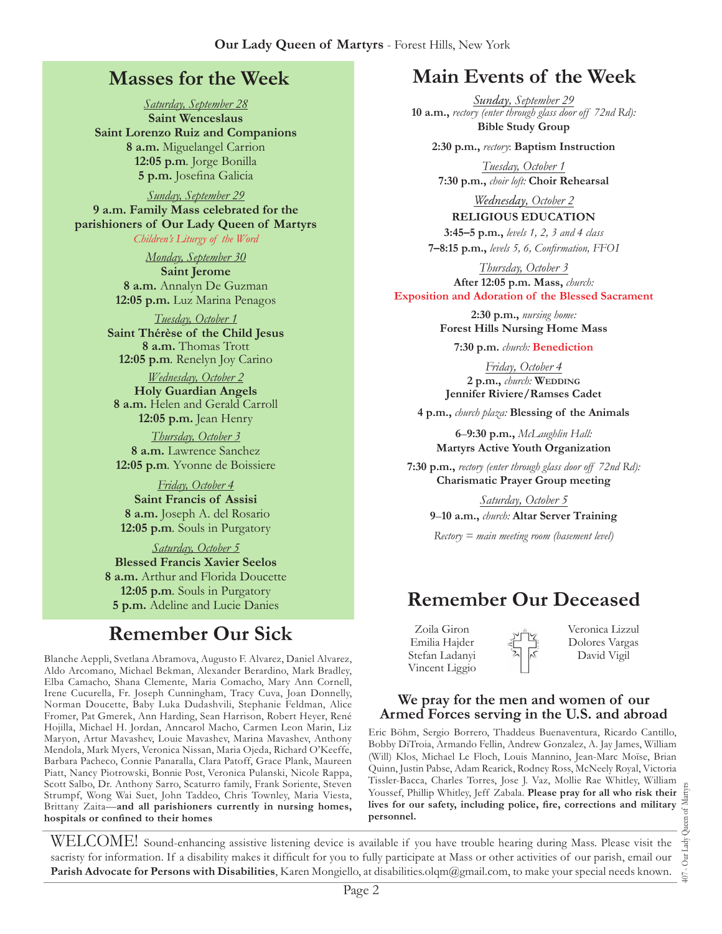## **Masses for the Week**

*Saturday, September 28*  **Saint Wenceslaus Saint Lorenzo Ruiz and Companions 8 a.m.** Miguelangel Carrion **12:05 p.m***.* Jorge Bonilla 5 p.m. Josefina Galicia

*Sunday, September 29*  **9 a.m. Family Mass celebrated for the parishioners of Our Lady Queen of Martyrs** *Children's Liturgy of the Word* 

> *Monday, September 30*  **Saint Jerome 8 a.m.** Annalyn De Guzman **12:05 p.m.** Luz Marina Penagos

*Tuesday, October 1*  **Saint Thérèse of the Child Jesus 8 a.m.** Thomas Trott **12:05 p.m***.* Renelyn Joy Carino

*Wednesday, October 2*  **Holy Guardian Angels 8 a.m.** Helen and Gerald Carroll **12:05 p.m.** Jean Henry

*Thursday, October 3* **8 a.m.** Lawrence Sanchez **12:05 p.m***.* Yvonne de Boissiere

*Friday, October 4*  **Saint Francis of Assisi 8 a.m.** Joseph A. del Rosario **12:05 p.m***.* Souls in Purgatory

*Saturday, October 5*  **Blessed Francis Xavier Seelos 8 a.m.** Arthur and Florida Doucette **12:05 p.m***.* Souls in Purgatory **5 p.m.** Adeline and Lucie Danies

# **Remember Our Sick**

Blanche Aeppli, Svetlana Abramova, Augusto F. Alvarez, Daniel Alvarez, Aldo Arcomano, Michael Bekman, Alexander Berardino, Mark Bradley, Elba Camacho, Shana Clemente, Maria Comacho, Mary Ann Cornell, Irene Cucurella, Fr. Joseph Cunningham, Tracy Cuva, Joan Donnelly, Norman Doucette, Baby Luka Dudashvili, Stephanie Feldman, Alice Fromer, Pat Gmerek, Ann Harding, Sean Harrison, Robert Heyer, René Hojilla, Michael H. Jordan, Anncarol Macho, Carmen Leon Marin, Liz Maryon, Artur Mavashev, Louie Mavashev, Marina Mavashev, Anthony Mendola, Mark Myers, Veronica Nissan, Maria Ojeda, Richard O'Keeffe, Barbara Pacheco, Connie Panaralla, Clara Patoff, Grace Plank, Maureen Piatt, Nancy Piotrowski, Bonnie Post, Veronica Pulanski, Nicole Rappa, Scott Salbo, Dr. Anthony Sarro, Scaturro family, Frank Soriente, Steven Strumpf, Wong Wai Suet, John Taddeo, Chris Townley, Maria Viesta, Brittany Zaita—**and all parishioners currently in nursing homes,**  hospitals or confined to their homes

# **Main Events of the Week**

*Sunday, September 29* **10 a.m.,** *rectory (enter through glass door off 72nd Rd):* **Bible Study Group**

**2:30 p.m.,** *rectory*: **Baptism Instruction**

*Tuesday, October 1*  **7:30 p.m.,** *choir loft:* **Choir Rehearsal**

*Wednesday, October 2*  **RELIGIOUS EDUCATION** 

**3:45–5 p.m.,** *levels 1, 2, 3 and 4 class*  **7–8:15 p.m.,** *levels 5, , ConÀrmation, FFOI* 

*Thursday, October 3*  **After 12:05 p.m. Mass,** *church:*  **Exposition and Adoration of the Blessed Sacrament**

> **2:30 p.m.,** *nursing home:*  **Forest Hills Nursing Home Mass**

**7:30 p.m.** *church:* **Benediction**

*Friday, October 4*  **2 p.m.,** *church:* **WEDDING Jennifer Riviere/Ramses Cadet**

**4 p.m.,** *church plaza:* **Blessing of the Animals**

**6**–**9:30 p.m.,** *McLaughlin Hall:* **Martyrs Active Youth Organization**

**7:30 p.m.,** *rectory (enter through glass door off 72nd Rd):* **Charismatic Prayer Group meeting** 

*Saturday, October 5*  **9**–**10 a.m.,** *church:* **Altar Server Training**

*Rectory = main meeting room (basement level)*

# **Remember Our Deceased**

Zoila Giron Emilia Hajder Stefan Ladanyi Vincent Liggio Veronica Lizzul Dolores Vargas David Vigil

#### **We pray for the men and women of our Armed Forces serving in the U.S. and abroad**

Eric Böhm, Sergio Borrero, Thaddeus Buenaventura, Ricardo Cantillo, Bobby DiTroia, Armando Fellin, Andrew Gonzalez, A. Jay James, William (Will) Klos, Michael Le Floch, Louis Mannino, Jean-Marc Moïse, Brian Quinn, Justin Pabse, Adam Rearick, Rodney Ross, McNeely Royal, Victoria Tissler-Bacca, Charles Torres, Jose J. Vaz, Mollie Rae Whitley, William Youssef, Phillip Whitley, Jeff Zabala. **Please pray for all who risk their**  lives for our safety, including police, fire, corrections and military **personnel.**

407 - Our Lady Queen of Martyrs Our Lady  $\overline{407}$  .

WELCOME! Sound-enhancing assistive listening device is available if you have trouble hearing during Mass. Please visit the sacristy for information. If a disability makes it difficult for you to fully participate at Mass or other activities of our parish, email our **Parish Advocate for Persons with Disabilities**, Karen Mongiello, at disabilities.olqm@gmail.com, to make your special needs known.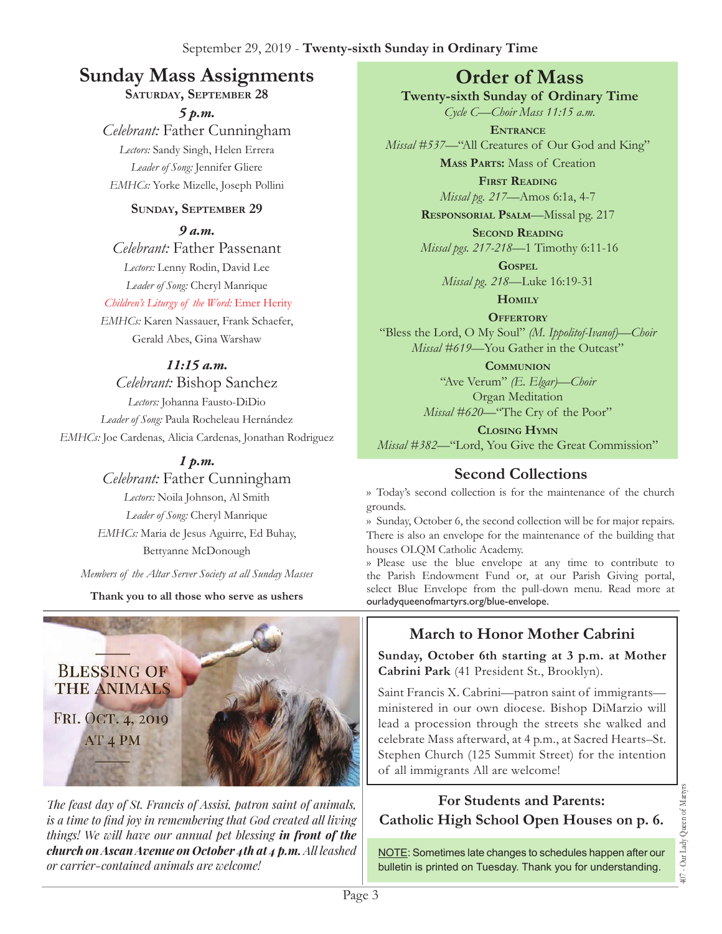# **Sunday Mass Assignments Order of Mass**

**SATURDAY, SEPTEMBER 28** 

*5 p.m. Celebrant:* Father Cunningham *Lectors:* Sandy Singh, Helen Errera *Leader of Song:* Jennifer Gliere *EMHCs:* Yorke Mizelle, Joseph Pollini

#### **SUNDAY, SEPTEMBER 29**

*9 a.m.* 

*Celebrant:* Father Passenant *Lectors:* Lenny Rodin, David Lee *Leader of Song:* Cheryl Manrique

*Children's Liturgy of the Word:* Emer Herity

*EMHCs:* Karen Nassauer, Frank Schaefer, Gerald Abes, Gina Warshaw

### *11:15 a.m.*

*Celebrant:* Bishop Sanchez *Lectors:* Johanna Fausto-DiDio *Leader of Song:* Paula Rocheleau Hernández *EMHCs:* Joe Cardenas, Alicia Cardenas, Jonathan Rodriguez

### *1 p.m.*

*Celebrant:* Father Cunningham

*Lectors:* Noila Johnson, Al Smith *Leader of Song:* Cheryl Manrique *EMHCs:* Maria de Jesus Aguirre, Ed Buhay, Bettyanne McDonough

*Members of the Altar Server Society at all Sunday Masses*

**Thank you to all those who serve as ushers**



*The feast day of St. Francis of Assisi, patron saint of animals, is a time to find joy in remembering that God created all living things! We will have our annual pet blessing in front of the church on Ascan Avenue on October 4th at 4 p.m. All leashed <i><u>or carrier-contained animals are welcome!</u>* 

**Twenty-sixth Sunday of Ordinary Time** 

*Cycle C—Choir Mass 11:15 a.m.* **ENTRANCE**

*Missal #537—*"All Creatures of Our God and King" **MASS PARTS:** Mass of Creation

> **FIRST READING** *Missal pg. 217—*Amos 6:1a, 4-7

**RESPONSORIAL PSALM**—Missal pg. 217

**SECOND READING** *Missal pgs. 217-218—*1 Timothy 6:11-16

**GOSPEL**

*Missal pg. 218—*Luke 16:19-31

**HOMILY**

**OFFERTORY** "Bless the Lord, O My Soul" *(M. Ippolitof-Ivanof)—Choir Missal* #619—You Gather in the Outcast"

**COMMUNION** "Ave Verum" *(E. Elgar)—Choir*  Organ Meditation *Missal #620—*"The Cry of the Poor"

**CLOSING HYMN** *Missal #382—*"Lord, You Give the Great Commission"

## **Second Collections**

›› Today's second collection is for the maintenance of the church grounds.

›› Sunday, October 6, the second collection will be for major repairs. There is also an envelope for the maintenance of the building that houses OLQM Catholic Academy.

›› Please use the blue envelope at any time to contribute to the Parish Endowment Fund or, at our Parish Giving portal, select Blue Envelope from the pull-down menu. Read more at ourladyqueenofmartyrs.org/blue-envelope.

# **March to Honor Mother Cabrini**

**Sunday, October 6th starting at 3 p.m. at Mother Cabrini Park** (41 President St., Brooklyn).

Saint Francis X. Cabrini—patron saint of immigrants ministered in our own diocese. Bishop DiMarzio will lead a procession through the streets she walked and celebrate Mass afterward, at 4 p.m., at Sacred Hearts–St. Stephen Church (125 Summit Street) for the intention of all immigrants All are welcome!

# **For Students and Parents: Catholic High School Open Houses on p. 6.**

NOTE: Sometimes late changes to schedules happen after our bulletin is printed on Tuesday. Thank you for understanding.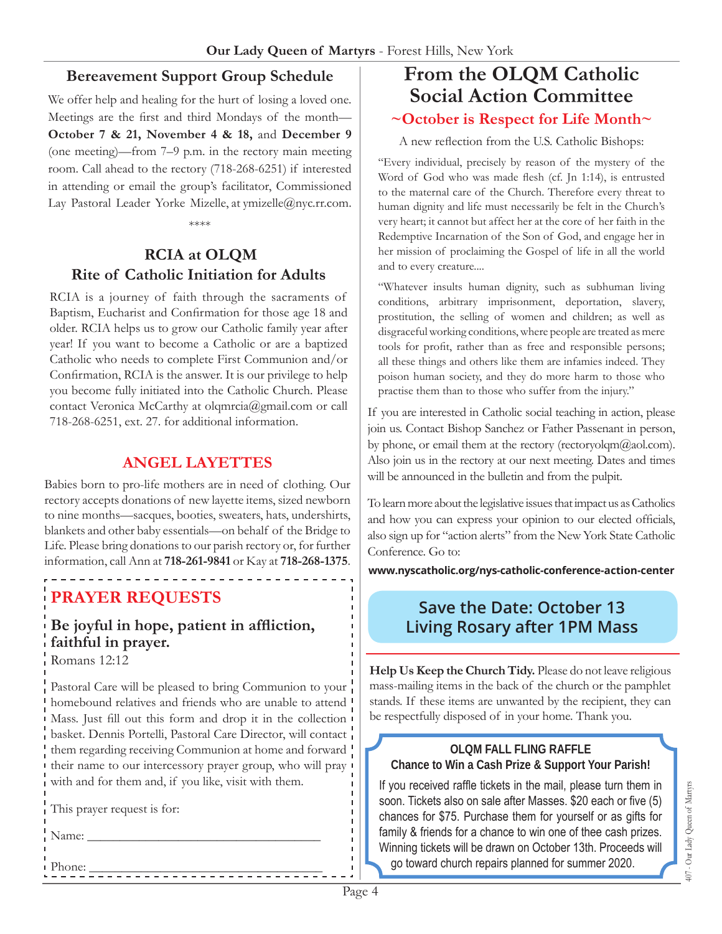#### **Bereavement Support Group Schedule**

We offer help and healing for the hurt of losing a loved one. Meetings are the first and third Mondays of the month-**October 7 & 21, November 4 & 18,** and **December 9** (one meeting)—from 7–9 p.m. in the rectory main meeting room. Call ahead to the rectory (718-268-6251) if interested in attending or email the group's facilitator, Commissioned Lay Pastoral Leader Yorke Mizelle, at ymizelle@nyc.rr.com.

\*\*\*\*

### **RCIA at OLQM Rite of Catholic Initiation for Adults**

RCIA is a journey of faith through the sacraments of Baptism, Eucharist and Confirmation for those age 18 and older. RCIA helps us to grow our Catholic family year after year! If you want to become a Catholic or are a baptized Catholic who needs to complete First Communion and/or Confirmation, RCIA is the answer. It is our privilege to help you become fully initiated into the Catholic Church. Please contact Veronica McCarthy at olqmrcia@gmail.com or call 718-268-6251, ext. 27. for additional information.

### **ANGEL LAYETTES**

Babies born to pro-life mothers are in need of clothing. Our rectory accepts donations of new layette items, sized newborn to nine months—sacques, booties, sweaters, hats, undershirts, blankets and other baby essentials—on behalf of the Bridge to Life. Please bring donations to our parish rectory or, for further information, call Ann at **718-261-9841** or Kay at **718-268-1375**.

# **PRAYER REQUESTS**

#### Be joyful in hope, patient in affliction, **faithful in prayer.**  Romans 12:12

Pastoral Care will be pleased to bring Communion to your homebound relatives and friends who are unable to attend Mass. Just fill out this form and drop it in the collection basket. Dennis Portelli, Pastoral Care Director, will contact them regarding receiving Communion at home and forward their name to our intercessory prayer group, who will pray with and for them and, if you like, visit with them.

Phone: \_\_\_\_\_\_\_\_\_\_\_\_\_\_\_\_\_\_\_\_\_\_\_\_\_\_\_\_\_\_\_\_\_\_\_\_

This prayer request is for:

Name:

# **From the OLQM Catholic Social Action Committee ~October is Respect for Life Month~**

A new reflection from the U.S. Catholic Bishops:

"Every individual, precisely by reason of the mystery of the Word of God who was made flesh (cf. Jn 1:14), is entrusted to the maternal care of the Church. Therefore every threat to human dignity and life must necessarily be felt in the Church's very heart; it cannot but affect her at the core of her faith in the Redemptive Incarnation of the Son of God, and engage her in her mission of proclaiming the Gospel of life in all the world and to every creature....

"Whatever insults human dignity, such as subhuman living conditions, arbitrary imprisonment, deportation, slavery, prostitution, the selling of women and children; as well as disgraceful working conditions, where people are treated as mere tools for profit, rather than as free and responsible persons; all these things and others like them are infamies indeed. They poison human society, and they do more harm to those who practise them than to those who suffer from the injury."

If you are interested in Catholic social teaching in action, please join us. Contact Bishop Sanchez or Father Passenant in person, by phone, or email them at the rectory (rectoryolqm $@$ aol.com). Also join us in the rectory at our next meeting. Dates and times will be announced in the bulletin and from the pulpit.

To learn more about the legislative issues that impact us as Catholics and how you can express your opinion to our elected officials, also sign up for "action alerts" from the New York State Catholic Conference. Go to:

**www.nyscatholic.org/nys-catholic-conference-action-center**

## **Save the Date: October 13 Living Rosary after 1PM Mass**

**Help Us Keep the Church Tidy.** Please do not leave religious mass-mailing items in the back of the church or the pamphlet stands. If these items are unwanted by the recipient, they can be respectfully disposed of in your home. Thank you.

#### **OLQM FALL FLING RAFFLE Chance to Win a Cash Prize & Support Your Parish!**

If you received raffle tickets in the mail, please turn them in soon. Tickets also on sale after Masses. \$20 each or five (5) chances for \$75. Purchase them for yourself or as gifts for family & friends for a chance to win one of thee cash prizes. Winning tickets will be drawn on October 13th. Proceeds will go toward church repairs planned for summer 2020.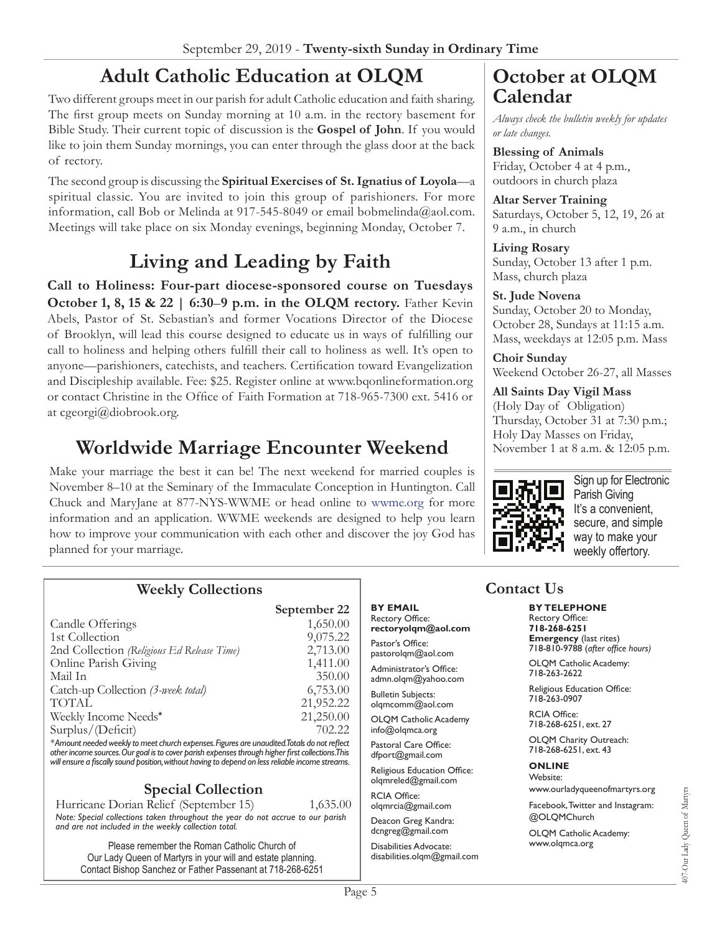# **Adult Catholic Education at OLQM**

Two different groups meet in our parish for adult Catholic education and faith sharing. The first group meets on Sunday morning at 10 a.m. in the rectory basement for Bible Study. Their current topic of discussion is the **Gospel of John**. If you would like to join them Sunday mornings, you can enter through the glass door at the back of rectory.

The second group is discussing the **Spiritual Exercises of St. Ignatius of Loyola**—a spiritual classic. You are invited to join this group of parishioners. For more information, call Bob or Melinda at 917-545-8049 or email bobmelinda@aol.com. Meetings will take place on six Monday evenings, beginning Monday, October 7.

# **Living and Leading by Faith**

**Call to Holiness: Four-part diocese-sponsored course on Tuesdays October 1, 8, 15 & 22 | 6:30–9 p.m. in the OLQM rectory.** Father Kevin Abels, Pastor of St. Sebastian's and former Vocations Director of the Diocese of Brooklyn, will lead this course designed to educate us in ways of fulfilling our call to holiness and helping others fulfill their call to holiness as well. It's open to anyone—parishioners, catechists, and teachers. Certification toward Evangelization and Discipleship available. Fee: \$25. Register online at www.bqonlineformation.org or contact Christine in the Office of Faith Formation at 718-965-7300 ext. 5416 or at cgeorgi@diobrook.org.

# **Worldwide Marriage Encounter Weekend**

Make your marriage the best it can be! The next weekend for married couples is November 8–10 at the Seminary of the Immaculate Conception in Huntington. Call Chuck and MaryJane at 877-NYS-WWME or head online to wwme.org for more information and an application. WWME weekends are designed to help you learn how to improve your communication with each other and discover the joy God has planned for your marriage.

# **October at OLQM Calendar**

*Always check the bulletin weekly for updates or late changes.*

**Blessing of Animals** Friday, October 4 at 4 p.m., outdoors in church plaza

**Altar Server Training** Saturdays, October 5, 12, 19, 26 at 9 a.m., in church

**Living Rosary**  Sunday, October 13 after 1 p.m. Mass, church plaza

#### **St. Jude Novena**

Sunday, October 20 to Monday, October 28, Sundays at 11:15 a.m. Mass, weekdays at 12:05 p.m. Mass

**Choir Sunday** Weekend October 26-27, all Masses

#### **All Saints Day Vigil Mass**

(Holy Day of Obligation) Thursday, October 31 at 7:30 p.m.; Holy Day Masses on Friday, November 1 at 8 a.m. & 12:05 p.m.



Sign up for Electronic Parish Giving It's a convenient, secure, and simple way to make your weekly offertory.

### **Weekly Collections**

|                                                                                                 | September 22 |
|-------------------------------------------------------------------------------------------------|--------------|
| Candle Offerings                                                                                | 1,650.00     |
| 1st Collection                                                                                  | 9,075.22     |
| 2nd Collection (Religious Ed Release Time)                                                      | 2,713.00     |
| Online Parish Giving                                                                            | 1,411.00     |
| Mail In                                                                                         | 350.00       |
| Catch-up Collection (3-week total)                                                              | 6,753.00     |
| <b>TOTAL</b>                                                                                    | 21,952.22    |
| Weekly Income Needs*                                                                            | 21,250.00    |
| Surplus/(Deficit)                                                                               | 702.22       |
| * American product would see monet church out onoon Figures are would to dTotals do not reflect |              |

Amount needed weekly to meet church expenses. Figures are unaudited.Totals do not reflect other income sources. Our goal is to cover parish expenses through higher first collections. This will ensure a fiscally sound position, without having to depend on less reliable income streams.

### **Special Collection**

Hurricane Dorian Relief (September 15) 1,635.00 *Note: Special collections taken throughout the year do not accrue to our parish* and are not included in the weekly collection total.

Please remember the Roman Catholic Church of Our Lady Queen of Martyrs in your will and estate planning. Contact Bishop Sanchez or Father Passenant at 718-268-6251

#### **BY EMAIL** Rectory Office:

**rectoryolqm@aol.com** Pastor's Office:

pastorolqm@aol.com Administrator's Office: admn.olqm@yahoo.com

**Bulletin Subjects:** olqmcomm@aol.com

OLQM Catholic Academy info@olqmca.org

Pastoral Care Office: dfport@gmail.com

Religious Education Office: olqmreled@gmail.com

RCIA Office: olqmrcia@gmail.com

Deacon Greg Kandra: dcngreg@gmail.com

Disabilities Advocate: disabilities.olqm@gmail.com

## **Contact Us**

**BY TELEPHONE** Rectory Office: **718-268-6251**

**Emergency** (last rites) 718-810-9788 (after office hours)

OLQM Catholic Academy: 718-263-2622

Religious Education Office: 718-263-0907

RCIA Office: 718-268-6251, ext. 27

OLQM Charity Outreach: 718-268-6251, ext. 43

#### **ONLINE**

Website: www.ourladyqueenofmartyrs.org

Facebook, Twitter and Instagram: @OLQMChurch

OLQM Catholic Academy: www.olqmca.org